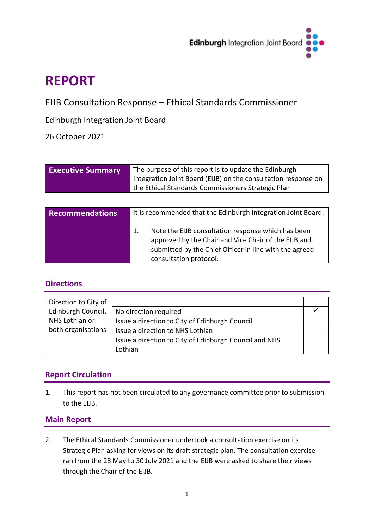

# **REPORT**

EIJB Consultation Response – Ethical Standards Commissioner

Edinburgh Integration Joint Board

26 October 2021

| <b>Executive Summary</b> | The purpose of this report is to update the Edinburgh<br>Integration Joint Board (EIJB) on the consultation response on<br>the Ethical Standards Commissioners Strategic Plan |
|--------------------------|-------------------------------------------------------------------------------------------------------------------------------------------------------------------------------|
| <b>Recommendations</b>   | It is recommended that the Edinburgh Integration Joint Board:                                                                                                                 |
|                          | Note the EIJB consultation response which has been<br>1.<br>approved by the Chair and Vice Chair of the EIJB and<br>submitted by the Chief Officer in line with the agreed    |

consultation protocol.

# **Directions**

| Direction to City of |                                                        |  |
|----------------------|--------------------------------------------------------|--|
| Edinburgh Council,   | No direction required                                  |  |
| NHS Lothian or       | Issue a direction to City of Edinburgh Council         |  |
| both organisations   | Issue a direction to NHS Lothian                       |  |
|                      | Issue a direction to City of Edinburgh Council and NHS |  |
|                      | Lothian                                                |  |

# **Report Circulation**

1. This report has not been circulated to any governance committee prior to submission to the EIJB.

## **Main Report**

2. The Ethical Standards Commissioner undertook a consultation exercise on its Strategic Plan asking for views on its draft strategic plan. The consultation exercise ran from the 28 May to 30 July 2021 and the EIJB were asked to share their views through the Chair of the EIJB.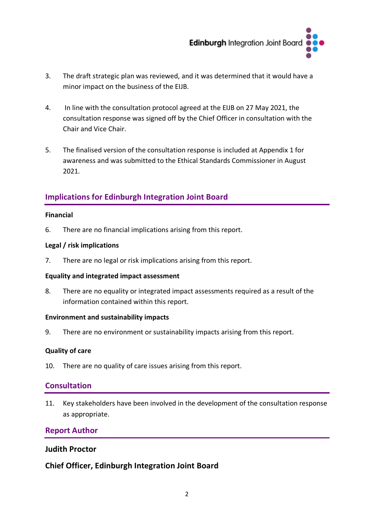

- 3. The draft strategic plan was reviewed, and it was determined that it would have a minor impact on the business of the EIJB.
- 4. In line with the consultation protocol agreed at the EIJB on 27 May 2021, the consultation response was signed off by the Chief Officer in consultation with the Chair and Vice Chair.
- 5. The finalised version of the consultation response is included at Appendix 1 for awareness and was submitted to the Ethical Standards Commissioner in August 2021.

# **Implications for Edinburgh Integration Joint Board**

#### **Financial**

6. There are no financial implications arising from this report.

### **Legal / risk implications**

7. There are no legal or risk implications arising from this report.

#### **Equality and integrated impact assessment**

8. There are no equality or integrated impact assessments required as a result of the information contained within this report.

#### **Environment and sustainability impacts**

9. There are no environment or sustainability impacts arising from this report.

## **Quality of care**

10. There are no quality of care issues arising from this report.

## **Consultation**

11. Key stakeholders have been involved in the development of the consultation response as appropriate.

## **Report Author**

## **Judith Proctor**

## **Chief Officer, Edinburgh Integration Joint Board**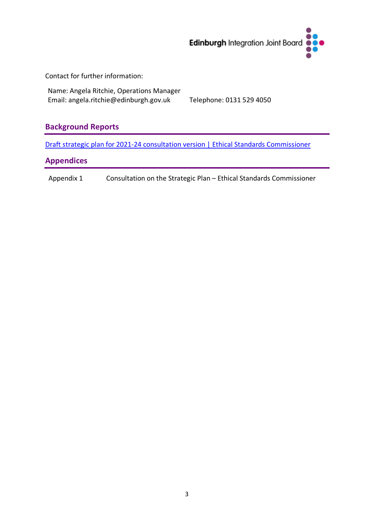

Contact for further information:

Name: Angela Ritchie, Operations Manager Email: angela.ritchie@edinburgh.gov.uk Telephone: 0131 529 4050

# **Background Reports**

[Draft strategic plan for 2021-24 consultation version | Ethical Standards Commissioner](https://www.ethicalstandards.org.uk/publication/draft-strategic-plan-2021-24-consultation-version)

## **Appendices**

Appendix 1 Consultation on the Strategic Plan – Ethical Standards Commissioner